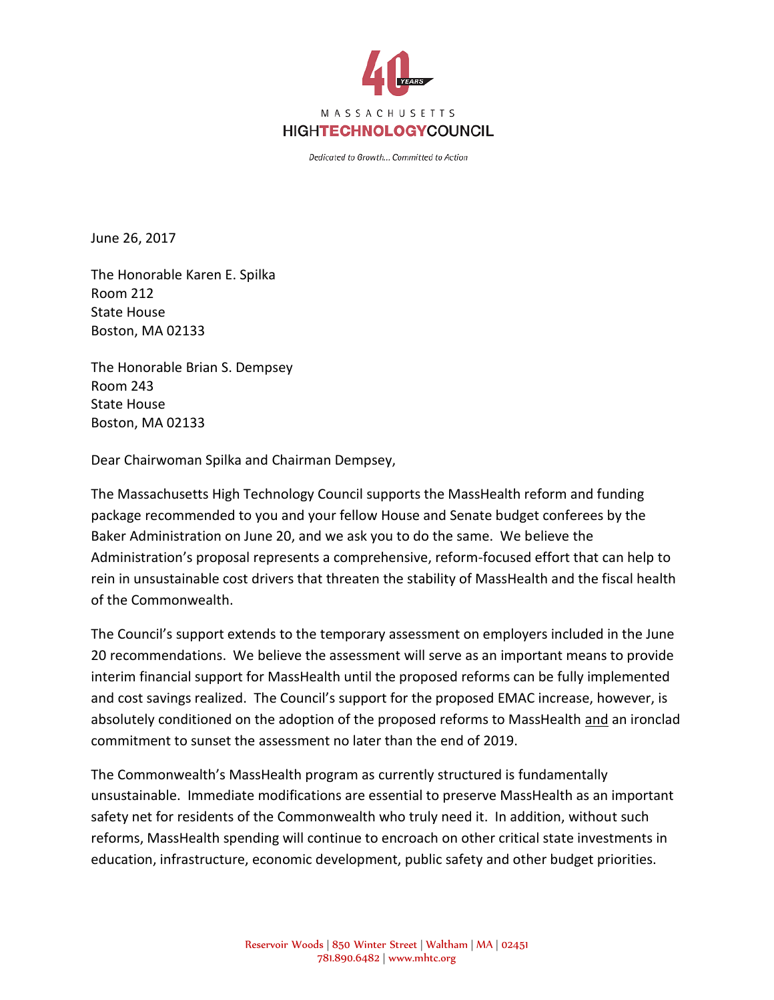

Dedicated to Growth... Committed to Action

June 26, 2017

The Honorable Karen E. Spilka Room 212 State House Boston, MA 02133

The Honorable Brian S. Dempsey Room 243 State House Boston, MA 02133

Dear Chairwoman Spilka and Chairman Dempsey,

The Massachusetts High Technology Council supports the MassHealth reform and funding package recommended to you and your fellow House and Senate budget conferees by the Baker Administration on June 20, and we ask you to do the same. We believe the Administration's proposal represents a comprehensive, reform-focused effort that can help to rein in unsustainable cost drivers that threaten the stability of MassHealth and the fiscal health of the Commonwealth.

The Council's support extends to the temporary assessment on employers included in the June 20 recommendations. We believe the assessment will serve as an important means to provide interim financial support for MassHealth until the proposed reforms can be fully implemented and cost savings realized. The Council's support for the proposed EMAC increase, however, is absolutely conditioned on the adoption of the proposed reforms to MassHealth and an ironclad commitment to sunset the assessment no later than the end of 2019.

The Commonwealth's MassHealth program as currently structured is fundamentally unsustainable. Immediate modifications are essential to preserve MassHealth as an important safety net for residents of the Commonwealth who truly need it. In addition, without such reforms, MassHealth spending will continue to encroach on other critical state investments in education, infrastructure, economic development, public safety and other budget priorities.